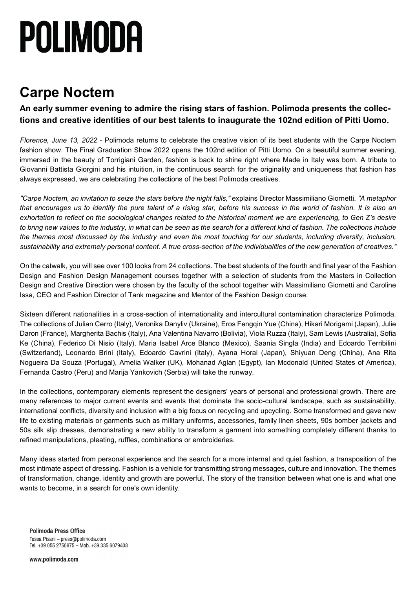# POLIMODA

### **Carpe Noctem**

**An early summer evening to admire the rising stars of fashion. Polimoda presents the collections and creative identities of our best talents to inaugurate the 102nd edition of Pitti Uomo.**

*Florence, June 13, 2022* - Polimoda returns to celebrate the creative vision of its best students with the Carpe Noctem fashion show. The Final Graduation Show 2022 opens the 102nd edition of Pitti Uomo. On a beautiful summer evening, immersed in the beauty of Torrigiani Garden, fashion is back to shine right where Made in Italy was born. A tribute to Giovanni Battista Giorgini and his intuition, in the continuous search for the originality and uniqueness that fashion has always expressed, we are celebrating the collections of the best Polimoda creatives.

*"Carpe Noctem, an invitation to seize the stars before the night falls,"* explains Director Massimiliano Giornetti. *"A metaphor* that encourages us to identify the pure talent of a rising star, before his success in the world of fashion. It is also an exhortation to reflect on the sociological changes related to the historical moment we are experiencing, to Gen Z's desire to bring new values to the industry, in what can be seen as the search for a different kind of fashion. The collections include the themes most discussed by the industry and even the most touching for our students, including diversity, inclusion, sustainability and extremely personal content. A true cross-section of the individualities of the new generation of creatives."

On the catwalk, you will see over 100 looks from 24 collections. The best students of the fourth and final year of the Fashion Design and Fashion Design Management courses together with a selection of students from the Masters in Collection Design and Creative Direction were chosen by the faculty of the school together with Massimiliano Giornetti and Caroline Issa, CEO and Fashion Director of Tank magazine and Mentor of the Fashion Design course.

Sixteen different nationalities in a cross-section of internationality and intercultural contamination characterize Polimoda. The collections of Julian Cerro (Italy), Veronika Danyliv (Ukraine), Eros Fengqin Yue (China), Hikari Morigami (Japan), Julie Daron (France), Margherita Bachis (Italy), Ana Valentina Navarro (Bolivia), Viola Ruzza (Italy), Sam Lewis (Australia), Sofia Ke (China), Federico Di Nisio (Italy), Maria Isabel Arce Blanco (Mexico), Saania Singla (India) and Edoardo Terribilini (Switzerland), Leonardo Brini (Italy), Edoardo Cavrini (Italy), Ayana Horai (Japan), Shiyuan Deng (China), Ana Rita Nogueira Da Souza (Portugal), Amelia Walker (UK), Mohanad Aglan (Egypt), Ian Mcdonald (United States of America), Fernanda Castro (Peru) and Marija Yankovich (Serbia) will take the runway.

In the collections, contemporary elements represent the designers' years of personal and professional growth. There are many references to major current events and events that dominate the socio-cultural landscape, such as sustainability, international conflicts, diversity and inclusion with a big focus on recycling and upcycling. Some transformed and gave new life to existing materials or garments such as military uniforms, accessories, family linen sheets, 90s bomber jackets and 50s silk slip dresses, demonstrating a new ability to transform a garment into something completely different thanks to refined manipulations, pleating, ruffles, combinations or embroideries.

Many ideas started from personal experience and the search for a more internal and quiet fashion, a transposition of the most intimate aspect of dressing. Fashion is a vehicle for transmitting strong messages, culture and innovation. The themes of transformation, change, identity and growth are powerful. The story of the transition between what one is and what one wants to become, in a search for one's own identity.

**Polimoda Press Office** Tessa Pisani - press@polimoda.com Tel. +39 055 2750675 - Mob. +39 335 6079408

www.polimoda.com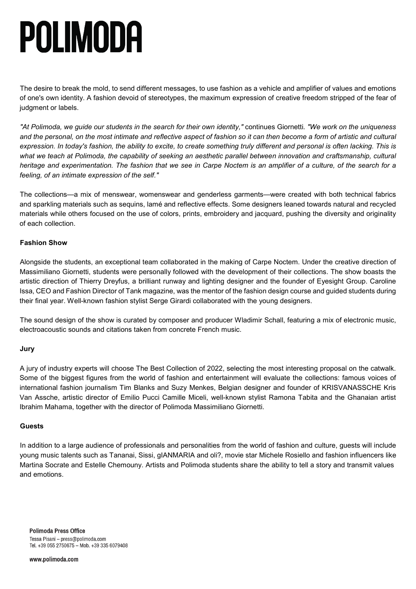## POLIMODA

The desire to break the mold, to send different messages, to use fashion as a vehicle and amplifier of values and emotions of one's own identity. A fashion devoid of stereotypes, the maximum expression of creative freedom stripped of the fear of judgment or labels.

"At Polimoda, we guide our students in the search for their own identity," continues Giornetti. "We work on the uniqueness and the personal, on the most intimate and reflective aspect of fashion so it can then become a form of artistic and cultural expression. In today's fashion, the ability to excite, to create something truly different and personal is often lacking. This is what we teach at Polimoda, the capability of seeking an aesthetic parallel between innovation and craftsmanship, cultural heritage and experimentation. The fashion that we see in Carpe Noctem is an amplifier of a culture, of the search for a *feeling, of an intimate expression of the self."*

The collections—a mix of menswear, womenswear and genderless garments—were created with both technical fabrics and sparkling materials such as sequins, lamé and reflective effects. Some designers leaned towards natural and recycled materials while others focused on the use of colors, prints, embroidery and jacquard, pushing the diversity and originality of each collection.

### **Fashion Show**

Alongside the students, an exceptional team collaborated in the making of Carpe Noctem. Under the creative direction of Massimiliano Giornetti, students were personally followed with the development of their collections. The show boasts the artistic direction of Thierry Dreyfus, a brilliant runway and lighting designer and the founder of Eyesight Group. Caroline Issa, CEO and Fashion Director of Tank magazine, was the mentor of the fashion design course and guided students during their final year. Well-known fashion stylist Serge Girardi collaborated with the young designers.

The sound design of the show is curated by composer and producer Wladimir Schall, featuring a mix of electronic music, electroacoustic sounds and citations taken from concrete French music.

### **Jury**

A jury of industry experts will choose The Best Collection of 2022, selecting the most interesting proposal on the catwalk. Some of the biggest figures from the world of fashion and entertainment will evaluate the collections: famous voices of international fashion journalism Tim Blanks and Suzy Menkes, Belgian designer and founder of KRISVANASSCHE Kris Van Assche, artistic director of Emilio Pucci Camille Miceli, well-known stylist Ramona Tabita and the Ghanaian artist Ibrahim Mahama, together with the director of Polimoda Massimiliano Giornetti.

#### **Guests**

In addition to a large audience of professionals and personalities from the world of fashion and culture, guests will include young music talents such as Tananai, Sissi, gIANMARIA and oli?, movie star Michele Rosiello and fashion influencers like Martina Socrate and Estelle Chemouny. Artists and Polimoda students share the ability to tell a story and transmit values and emotions.